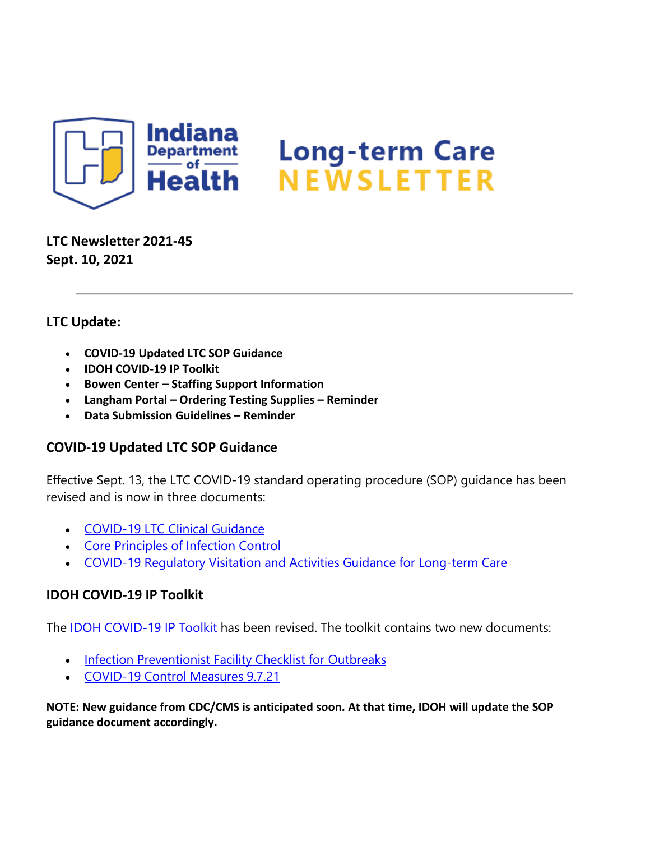

**LTC Newsletter 2021-45 Sept. 10, 2021**

# **LTC Update:**

- **COVID-19 Updated LTC SOP Guidance**
- **IDOH COVID-19 IP Toolkit**
- **Bowen Center – Staffing Support Information**
- **Langham Portal – Ordering Testing Supplies – Reminder**
- **Data Submission Guidelines – Reminder**

# **COVID-19 Updated LTC SOP Guidance**

Effective Sept. 13, the LTC COVID-19 standard operating procedure (SOP) guidance has been revised and is now in three documents:

- [COVID-19 LTC Clinical Guidance](https://www.coronavirus.in.gov/files/COVID-19%20LTC%20Clinical%20Guidance%209.7.21.pdf)
- [Core Principles of Infection Control](https://www.coronavirus.in.gov/files/COVID%2019%20Infection%20Control%20for%20LTC%20facilities%209.7.21.pdf)
- [COVID-19 Regulatory Visitation and Activities Guidance for Long-term Care](https://www.coronavirus.in.gov/files/COVID-19%20Regulatory%20Visitation%20and%20Activities%20Guidance%20for%20LTC%209.7.21.pdf)

# **IDOH COVID-19 IP Toolkit**

The **IDOH COVID-19 IP Toolkit** has been revised. The toolkit contains two new documents:

- [Infection Preventionist Facility Checklist for Outbreaks](https://www.coronavirus.in.gov/files/IN_COVID-19%20IP%20checklist%2008.30.21.pdf)
- [COVID-19 Control Measures 9.7.21](https://www.coronavirus.in.gov/files/COVID-19%20Control%20Measures%20under%20410%20IAC%201_9.7.21.pdf)

**NOTE: New guidance from CDC/CMS is anticipated soon. At that time, IDOH will update the SOP guidance document accordingly.**